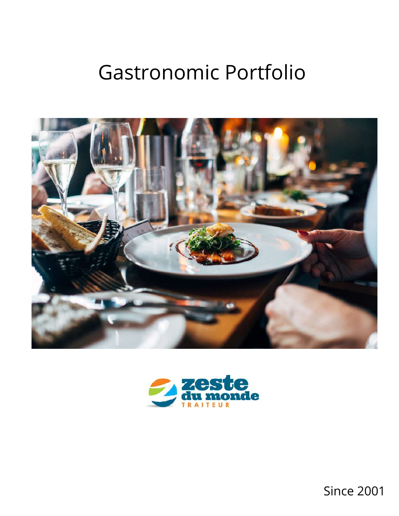# Gastronomic Portfolio





Since 2001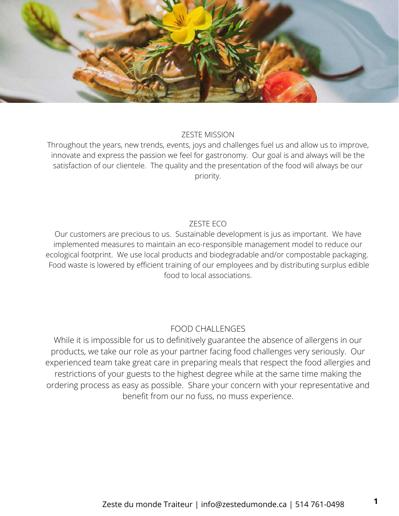

#### ZESTE MISSION

Throughout the years, new trends, events, joys and challenges fuel us and allow us to improve, innovate and express the passion we feel for gastronomy. Our goal is and always will be the satisfaction of our clientele. The quality and the presentation of the food will always be our priority.

### ZESTE ECO

Our customers are precious to us. Sustainable development is jus as important. We have implemented measures to maintain an eco-responsible management model to reduce our ecological footprint. We use local products and biodegradable and/or compostable packaging. Food waste is lowered by efficient training of our employees and by distributing surplus edible food to local associations.

### FOOD CHALLENGES

While it is impossible for us to definitively guarantee the absence of allergens in our products, we take our role as your partner facing food challenges very seriously. Our experienced team take great care in preparing meals that respect the food allergies and restrictions of your guests to the highest degree while at the same time making the ordering process as easy as possible. Share your concern with your representative and benefit from our no fuss, no muss experience.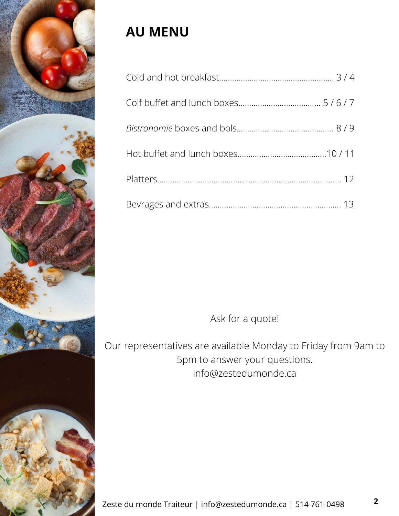

# **AU MENU**

Ask for a quote!

Our representatives are available Monday to Friday from 9am to 5pm to answer your questions. info@zestedumonde.ca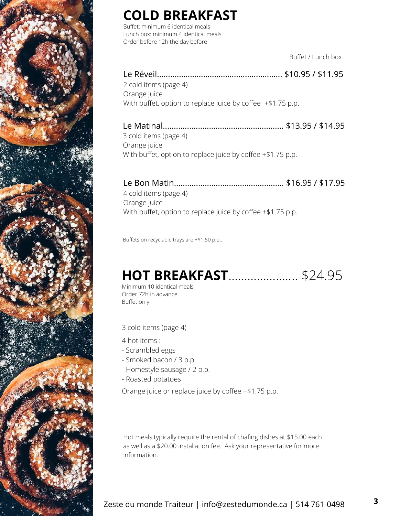

# **COLD BREAKFAST**

Buffet: minimum 6 identical meals Lunch box: minimum 4 identical meals Order before 12h the day before

Buffet / Lunch box

### Le Réveil......................................................... \$10.95 / \$11.95 2 cold items (page 4) Orange juice

With buffet, option to replace juice by coffee +\$1.75 p.p.

### Le Matinal....................................................... \$13.95 / \$14.95

3 cold items (page 4) Orange juice With buffet, option to replace juice by coffee +\$1.75 p.p.

### Le Bon Matin.................................................. \$16.95 / \$17.95

4 cold items (page 4) Orange juice With buffet, option to replace juice by coffee +\$1.75 p.p.

Buffets on recyclable trays are +\$1.50 p.p..

# **HOT BREAKFAST**...................... \$24.95

Minimum 10 identical meals Order 72h in advance Buffet only

3 cold items (page 4)

4 hot items :

- Scrambled eggs
- Smoked bacon / 3 p.p.
- Homestyle sausage / 2 p.p.
- Roasted potatoes

Orange juice or replace juice by coffee +\$1.75 p.p.

Hot meals typically require the rental of chafing dishes at \$15.00 each as well as a \$20.00 installation fee. Ask your representative for more information.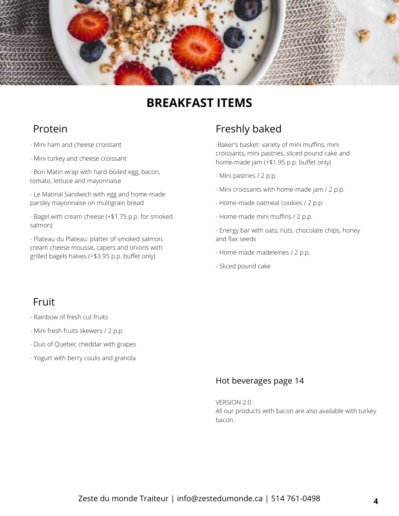

# **BREAKFAST ITEMS**

## Protein

- Mini ham and cheese croissant
- Mini turkey and cheese croissant

- Bon Matin wrap with hard-boiled egg, bacon, tomato, lettuce and mayonnaise

- Le Matinal Sandwich with egg and home-made parsley mayonnaise on multigrain bread

- Bagel with cream cheese (+\$1.75 p.p. for smoked salmon)

- Plateau du Plateau: platter of smoked salmon, cream cheese mousse, capers and onions with grilled bagels halves (+\$3.95 p.p. buffet only)

## Freshly baked

-Baker's basket: variety of mini muffins, mini croissants, mini pastries, sliced pound cake and home-made jam (+\$1.95 p.p. buffet only)

- Mini pastries / 2 p.p.
- Mini croissants with home-made jam /2 p.p.
- Home-made oatmeal cookies / 2 p.p.
- Home-made mini muffins / 2 p.p.
- Energy bar with oats, nuts, chocolate chips, honey and flax seeds
- Home-made madeleines / 2 p.p.
- Sliced pound cake

### Fruit

- Rainbow of fresh cut fruits
- Mini fresh fruits skewers / 2 p.p.
- Duo of Quebec cheddar with grapes
- Yogurt with berry coulis and granola

### Hot beverages page 14

VERSION 2.0 All our products with bacon are also available with turkey bacon.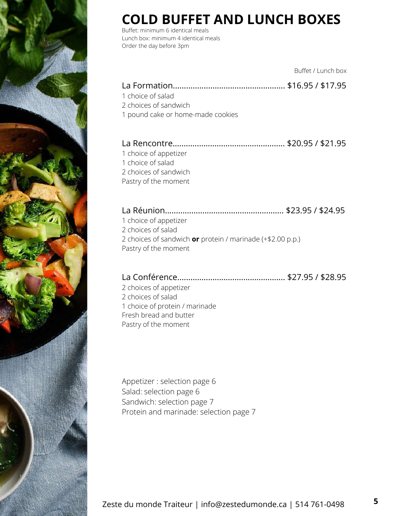

# **COLD BUFFET AND LUNCH BOXES**

Buffet: minimum 6 identical meals Lunch box: minimum 4 identical meals Order the day before 3pm

|                                                                                                                                   | Buffet / Lunch box |
|-----------------------------------------------------------------------------------------------------------------------------------|--------------------|
| 1 choice of salad<br>2 choices of sandwich<br>1 pound cake or home-made cookies                                                   |                    |
| 1 choice of appetizer<br>1 choice of salad<br>2 choices of sandwich<br>Pastry of the moment                                       |                    |
| 1 choice of appetizer<br>2 choices of salad<br>2 choices of sandwich or protein / marinade (+\$2.00 p.p.)<br>Pastry of the moment |                    |
| 2 choices of appetizer<br>2 choices of salad<br>1 choice of protein / marinade<br>Fresh bread and butter<br>Pastry of the moment  |                    |
|                                                                                                                                   |                    |

Appetizer : selection page 6 Salad: selection page 6 Sandwich: selection page 7 Protein and marinade: selection page 7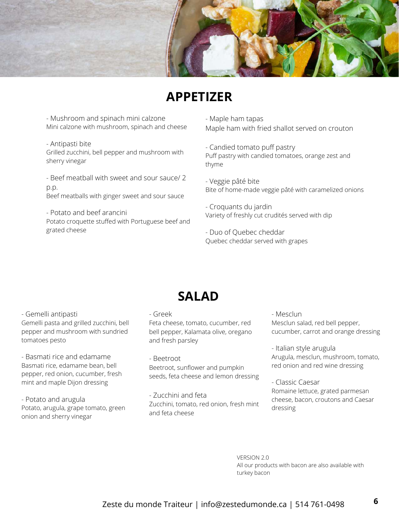

# **APPETIZER**

- Mushroom and spinach mini calzone Mini calzone with mushroom, spinach and cheese

- Antipasti bite Grilled zucchini, bell pepper and mushroom with sherry vinegar

- Beef meatball with sweet and sour sauce/ 2 p.p. Beef meatballs with ginger sweet and sour sauce

- Potato and beef arancini Potato croquette stuffed with Portuguese beef and grated cheese

- Maple ham tapas

Maple ham with fried shallot served on crouton

- Candied tomato puff pastry Puff pastry with candied tomatoes, orange zest and thyme

- Veggie pâté bite Bite of home-made veggie pâté with caramelized onions

- Croquants du jardin Variety of freshly cut crudités served with dip

- Duo of Quebec cheddar Quebec cheddar served with grapes

- Gemelli antipasti Gemelli pasta and grilled zucchini, bell pepper and mushroom with sundried tomatoes pesto

- Basmati rice and edamame Basmati rice, edamame bean, bell pepper, red onion, cucumber, fresh mint and maple Dijon dressing

- Potato and arugula Potato, arugula, grape tomato, green onion and sherry vinegar

# - Greek

Feta cheese, tomato, cucumber, red bell pepper, Kalamata olive, oregano and fresh parsley

**SALAD**

- Beetroot Beetroot, sunflower and pumpkin seeds, feta cheese and lemon dressing

- Zucchini and feta Zucchini, tomato, red onion, fresh mint and feta cheese

- Mesclun Mesclun salad, red bell pepper, cucumber, carrot and orange dressing

- Italian style arugula Arugula, mesclun, mushroom, tomato, red onion and red wine dressing

- Classic Caesar Romaine lettuce, grated parmesan cheese, bacon, croutons and Caesar dressing

VERSION 2.0 All our products with bacon are also available with turkey bacon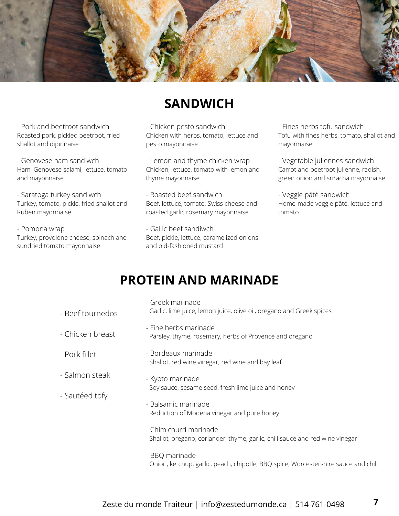

# **SANDWICH**

- Pork and beetroot sandwich Roasted pork, pickled beetroot, fried shallot and dijonnaise

- Genovese ham sandiwch Ham, Genovese salami, lettuce, tomato and mayonnaise

- Saratoga turkey sandiwch Turkey, tomato, pickle, fried shallot and Ruben mayonnaise

- Pomona wrap Turkey, provolone cheese, spinach and sundried tomato mayonnaise

#### - Chicken pesto sandwich Chicken with herbs, tomato, lettuce and pesto mayonnaise

- Lemon and thyme chicken wrap Chicken, lettuce, tomato with lemon and thyme mayonnaise

- Roasted beef sandwich Beef, lettuce, tomato, Swiss cheese and roasted garlic rosemary mayonnaise

- Gallic beef sandiwch Beef, pickle, lettuce, caramelized onions and old-fashioned mustard

- Fines herbs tofu sandwich Tofu with fines herbs, tomato, shallot and mayonnaise

- Vegetable juliennes sandwich Carrot and beetroot julienne, radish, green onion and sriracha mayonnaise

- Veggie pâté sandwich Home-made veggie pâté, lettuce and tomato

# **PROTEIN AND MARINADE**

- Beef tournedos - Chicken breast - Pork fillet - Salmon steak - Sautéed tofy - Greek marinade Garlic, lime juice, lemon juice, olive oil, oregano and Greek spices - Fine herbs marinade Parsley, thyme, rosemary, herbs of Provence and oregano - Bordeaux marinade Shallot, red wine vinegar, red wine and bay leaf - Kyoto marinade Soy sauce, sesame seed, fresh lime juice and honey - Balsamic marinade Reduction of Modena vinegar and pure honey - Chimichurri marinade Shallot, oregano, coriander, thyme, garlic, chili sauce and red wine vinegar
	- BBQ marinade Onion, ketchup, garlic, peach, chipotle, BBQ spice, Worcestershire sauce and chili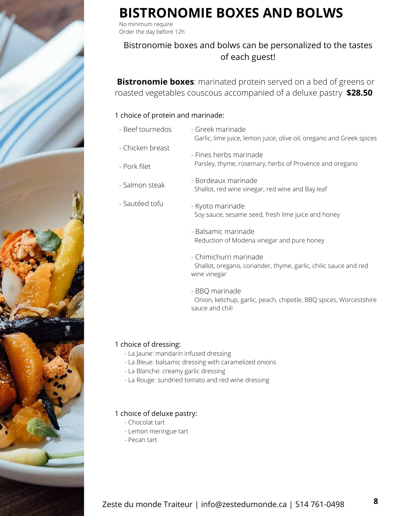

# **BISTRONOMIE BOXES AND BOLWS**

No minimum require Order the day before 12h

### Bistronomie boxes and bolws can be personalized to the tastes of each guest!

**Bistronomie boxes**: marinated protein served on a bed of greens or roasted vegetables couscous accompanied of a deluxe pastry **\$28.50**

#### 1 choice of protein and marinade:

| - Beef tournedos | - Greek marinade<br>Garlic, lime juice, lemon juice, olive oil, oregano and Greek spices                   |  |
|------------------|------------------------------------------------------------------------------------------------------------|--|
| - Chicken breast | - Fines herbs marinade                                                                                     |  |
| - Pork filet     | Parsley, thyme, rosemary, herbs of Provence and oregano                                                    |  |
| - Salmon steak   | - Bordeaux marinade<br>Shallot, red wine vinegar, red wine and Bay leaf                                    |  |
| - Sautéed tofu   | - Kyoto marinade<br>Soy sauce, sesame seed, fresh lime juice and honey                                     |  |
|                  | - Balsamic marinade<br>Reduction of Modena vinegar and pure honey                                          |  |
|                  | - Chimichurri marinade<br>Shallot, oregano, coriander, thyme, garlic, chilic sauce and red<br>wine vinegar |  |

- BBQ marinade Onion, ketchup, garlic, peach, chipotle, BBQ spices, Worcestshire sauce and chili

### 1 choice of dressing:

- La Jaune: mandarin infused dressing
- La Bleue: balsamic dressing with caramelized onions
- La Blanche: creamy garlic dressing
- La Rouge: sundried tomato and red wine dressing

#### 1 choice of deluxe pastry:

- Chocolat tart
- Lemon meringue tart
- Pecan tart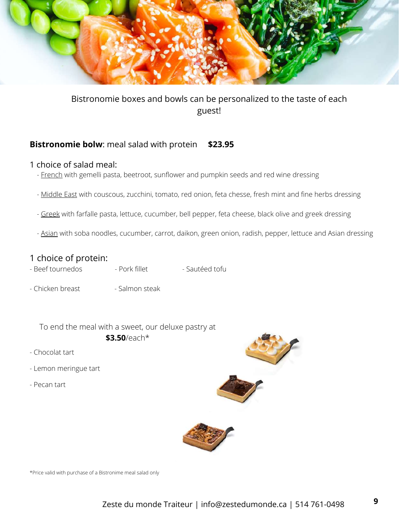

### Bistronomie boxes and bowls can be personalized to the taste of each guest!

### **Bistronomie bolw**: meal salad with protein **\$23.95**

### 1 choice of salad meal:

- French with gemelli pasta, beetroot, sunflower and pumpkin seeds and red wine dressing
- Middle East with couscous, zucchini, tomato, red onion, feta chesse, fresh mint and fine herbs dressing
- Greek with farfalle pasta, lettuce, cucumber, bell pepper, feta cheese, black olive and greek dressing
- Asian with soba noodles, cucumber, carrot, daikon, green onion, radish, pepper, lettuce and Asian dressing

### 1 choice of protein:

- Beef tournedos Pork fillet Sautéed tofu
- Chicken breast Salmon steak

To end the meal with a sweet, our deluxe pastry at **\$3.50**/each\*

- Chocolat tart
- Lemon meringue tart
- Pecan tart





\*Price valid with purchase of a Bistronime meal salad only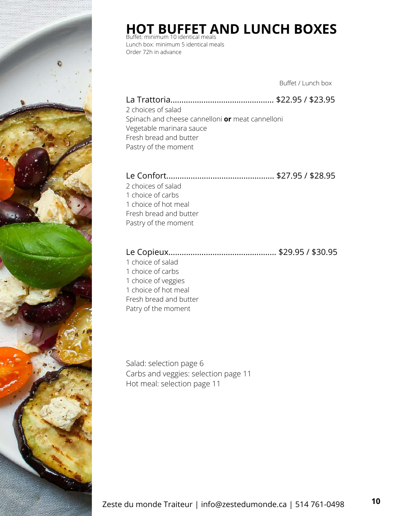

# **HOT BUFFET AND LUNCH BOXES** Buffet: minimum 10 identical meals

Lunch box: minimum 5 identical meals Order 72h in advance

Buffet / Lunch box

### La Trattoria............................................... \$22.95 / \$23.95 2 choices of salad

Spinach and cheese cannelloni **or** meat cannelloni Vegetable marinara sauce Fresh bread and butter Pastry of the moment

## Le Confort................................................. \$27.95 / \$28.95

2 choices of salad 1 choice of carbs 1 choice of hot meal Fresh bread and butter Pastry of the moment

### Le Copieux................................................. \$29.95 / \$30.95

 choice of salad choice of carbs choice of veggies choice of hot meal Fresh bread and butter Patry of the moment

Salad: selection page 6 Carbs and veggies: selection page 11 Hot meal: selection page 11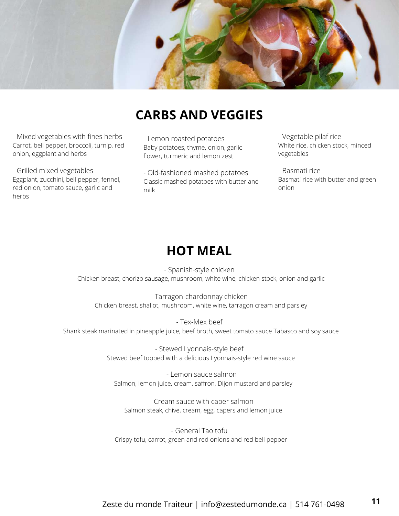

# **CARBS AND VEGGIES**

- Mixed vegetables with fines herbs Carrot, bell pepper, broccoli, turnip, red onion, eggplant and herbs

- Grilled mixed vegetables Eggplant, zucchini, bell pepper, fennel, red onion, tomato sauce, garlic and herbs

- Lemon roasted potatoes Baby potatoes, thyme, onion, garlic flower, turmeric and lemon zest

- Old-fashioned mashed potatoes Classic mashed potatoes with butter and milk

- Vegetable pilaf rice White rice, chicken stock, minced vegetables

- Basmati rice Basmati rice with butter and green onion

## **HOT MEAL**

- Spanish-style chicken Chicken breast, chorizo sausage, mushroom, white wine, chicken stock, onion and garlic

- Tarragon-chardonnay chicken Chicken breast, shallot, mushroom, white wine, tarragon cream and parsley

- Tex-Mex beef Shank steak marinated in pineapple juice, beef broth, sweet tomato sauce Tabasco and soy sauce

> - Stewed Lyonnais-style beef Stewed beef topped with a delicious Lyonnais-style red wine sauce

- Lemon sauce salmon Salmon, lemon juice, cream, saffron, Dijon mustard and parsley

- Cream sauce with caper salmon Salmon steak, chive, cream, egg, capers and lemon juice

- General Tao tofu Crispy tofu, carrot, green and red onions and red bell pepper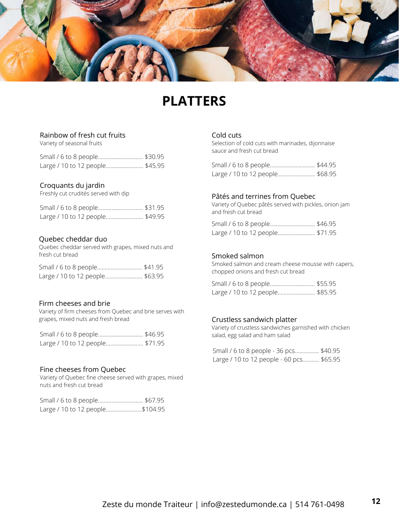

# **PLATTERS**

#### Rainbow of fresh cut fruits

Variety of seasonal fruits

| Small / 6 to 8 people \$30.95   |  |
|---------------------------------|--|
| Large / 10 to 12 people \$45.95 |  |

#### Croquants du jardin

Freshly cut crudités served with dip

| Small / 6 to 8 people \$31.95   |  |
|---------------------------------|--|
| Large / 10 to 12 people \$49.95 |  |

#### Quebec cheddar duo

Quebec cheddar served with grapes, mixed nuts and fresh cut bread

| Small / 6 to 8 people \$41.95   |  |
|---------------------------------|--|
| Large / 10 to 12 people \$63.95 |  |

#### Firm cheeses and brie

Variety of firm cheeses from Quebec and brie serves with grapes, mixed nuts and fresh bread

| Small / 6 to 8 people \$46.95   |  |
|---------------------------------|--|
| Large / 10 to 12 people \$71.95 |  |

#### Fine cheeses from Quebec

Variety of Quebec fine cheese served with grapes, mixed nuts and fresh cut bread

| Small / 6 to 8 people \$67.95   |  |
|---------------------------------|--|
| Large / 10 to 12 people\$104.95 |  |

#### Cold cuts

Selection of cold cuts with marinades, dijonnaise sauce and fresh cut bread

| Small / 6 to 8 people \$44.95   |  |
|---------------------------------|--|
| Large / 10 to 12 people \$68.95 |  |

#### Pâtés and terrines from Quebec

Variety of Quebec pâtés served with pickles, onion jam and fresh cut bread

| Large / 10 to 12 people \$71.95 |  |
|---------------------------------|--|

#### Smoked salmon

Smoked salmon and cream cheese mousse with capers, chopped onions and fresh cut bread

| Large / 10 to 12 people \$85.95 |  |
|---------------------------------|--|

#### Crustless sandwich platter

Variety of crustless sandwiches garnished with chicken salad, egg salad and ham salad

Small / 6 to 8 people - 36 pcs................ \$40.95 Large / 10 to 12 people - 60 pcs........... \$65.95